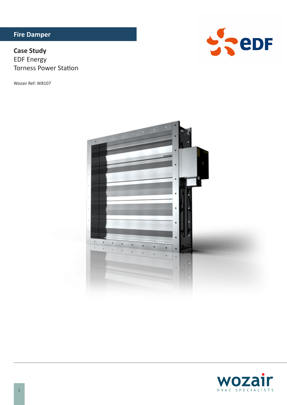# **Fire Damper**

# **Case Study EDF Energy Torness Power Station**

Wozair Ref: W8107





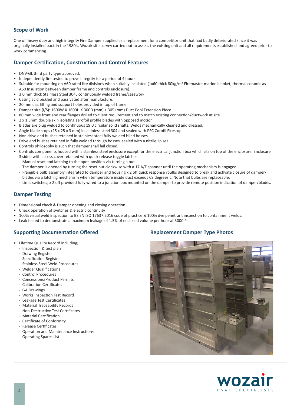# **Scope of Work**

One off heavy duty and high integrity Fire Damper supplied as a replacement for a competitor unit that had badly deteriorated since it was originally installed back in the 1980's. Wozair site survey carried out to assess the existing unit and all requirements established and agreed prior to work commencing.

#### **Damper Certification, Construction and Control Features**

- DNV-GL third party type approved.
- Independently fire tested to prove integrity for a period of 4 hours.
- Suitable for mounting on A60 rated fire divisions when suitably insulated (1x60 thick 80kg/m<sup>3</sup> Firemaster marine blanket, thermal ceramic as A60 Insulation between damper frame and controls enclosure).
- 3.0 mm thick Stainless Steel 304L continuously welded frame/casework.
- Casing acid pickled and passivated after manufacture.
- 20 mm dia. lifting and support holes provided in top of frame.
- Damper size (I/S): 1600W X 1600H X 300D (mm) + 305 (mm) Duct Pool Extension Piece.
- 80 mm wide front and rear flanges drilled to client requirement and to match existing connection/ductwork at site.
- 2 x 1.5mm double skin isolating aerofoil profile blades with opposed motion.
- Blades are plug welded to continuous 19.0 circular solid shafts. Welds mechanically cleaned and dressed.
- Angle blade stops (25 x 25 x 3 mm) in stainless steel 304 and sealed with PFC Corofil Firestop.
- Non drive end bushes retained in stainless steel fully welded blind bosses.
- Drive end bushes retained in fully welded through bosses, sealed with a nitrile lip seal.
- Controls philosophy is such that damper shall fail closed;
- Controls components housed with a stainless steel enclosure except for the electrical junction box which sits on top of the enclosure. Enclosure 3 sided with access cover retained with quick release toggle latches.
- Manual reset and latching to the open position via turning a nut
- The damper is opened by turning the reset nut clockwise with a 17 A/F spanner until the operating mechanism is engaged..
- Frangible bulb assembly integrated to damper and housing x 2 off quick response rbulbs designed to break and activate closure of damper/ blades via a latching mechanism when temperature inside duct exceeds 68 degrees c. Note that bulbs are replaceable.
- Limit switches; x 2 off provided fully wired to a junction box mounted on the damper to provide remote position indication of damper/blades.

## **Damper Testing**

- Dimensional check & Damper opening and closing operation.
- Check operation of switches & electric continuity
- 100% visual weld inspection to BS EN ISO 17637:2016 code of practice & 100% dye penetrant inspection to containment welds.
- Leak tested to demonstrate a maximum leakage of 1.5% of enclosed volume per hour at 3000 Pa.

# **Supporting Documentation Offered**

- Lifetime Quality Record including;
	- Inspection & test plan
	- Drawing Register
	- Specification Register
	- Stainless Steel Weld Procedures
	- Welder Qualifications
	- Control Procedures
	- Concessions/Product Permits
	- Calibration Certificates
	- GA Drawings
	- Works Inspection Test Record
	- Leakage Test Certificates
	- Material Traceability Records
	- Non-Destructive Test Certificates
	- Material Certification
	- Certificate of Conformity
	- Release Certificates
	- Operation and Maintenance Instructions
	- Operating Spares List

#### **Replacement Damper Type Photos**